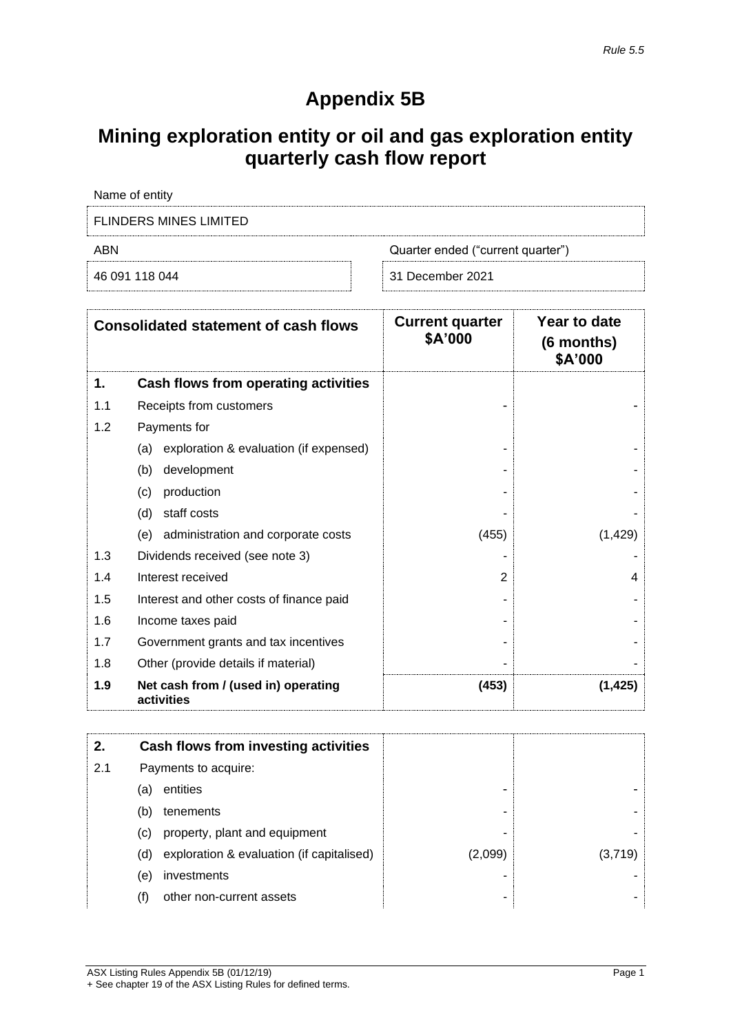# **Appendix 5B**

# **Mining exploration entity or oil and gas exploration entity quarterly cash flow report**

| Name of entity         |                                   |
|------------------------|-----------------------------------|
| FLINDERS MINES LIMITED |                                   |
| ABN                    | Quarter ended ("current quarter") |
| 46 091 118 044         | 31 December 2021                  |

|     | <b>Consolidated statement of cash flows</b>       | <b>Current quarter</b><br>\$A'000 | Year to date<br>(6 months)<br>\$A'000 |
|-----|---------------------------------------------------|-----------------------------------|---------------------------------------|
| 1.  | Cash flows from operating activities              |                                   |                                       |
| 1.1 | Receipts from customers                           |                                   |                                       |
| 1.2 | Payments for                                      |                                   |                                       |
|     | exploration & evaluation (if expensed)<br>(a)     |                                   |                                       |
|     | development<br>(b)                                |                                   |                                       |
|     | production<br>(c)                                 |                                   |                                       |
|     | staff costs<br>(d)                                |                                   |                                       |
|     | administration and corporate costs<br>(e)         | (455)                             | (1, 429)                              |
| 1.3 | Dividends received (see note 3)                   |                                   |                                       |
| 1.4 | Interest received                                 | 2                                 | 4                                     |
| 1.5 | Interest and other costs of finance paid          |                                   |                                       |
| 1.6 | Income taxes paid                                 |                                   |                                       |
| 1.7 | Government grants and tax incentives              |                                   |                                       |
| 1.8 | Other (provide details if material)               |                                   |                                       |
| 1.9 | Net cash from / (used in) operating<br>activities | (453)                             | (1, 425)                              |

| 2.  |     | Cash flows from investing activities      |         |         |
|-----|-----|-------------------------------------------|---------|---------|
| 2.1 |     | Payments to acquire:                      |         |         |
|     | (a) | entities                                  | -       |         |
|     | (b) | tenements                                 | -       |         |
|     | (C) | property, plant and equipment             | -       |         |
|     | (d) | exploration & evaluation (if capitalised) | (2,099) | (3.719) |
|     | (e) | investments                               | -       |         |
|     | (f) | other non-current assets                  | -       |         |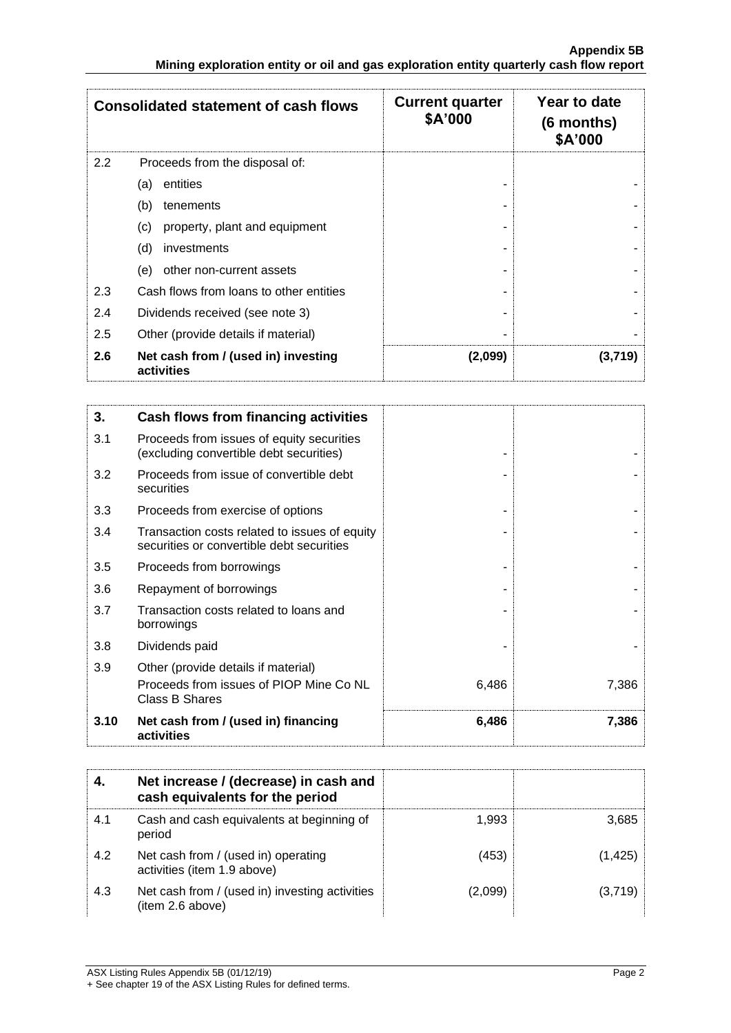|     | <b>Consolidated statement of cash flows</b>       | <b>Current quarter</b><br>\$A'000 | Year to date<br>$(6$ months)<br>\$A'000 |
|-----|---------------------------------------------------|-----------------------------------|-----------------------------------------|
| 2.2 | Proceeds from the disposal of:                    |                                   |                                         |
|     | entities<br>(a)                                   |                                   |                                         |
|     | (b)<br>tenements                                  |                                   |                                         |
|     | property, plant and equipment<br>(c)              |                                   |                                         |
|     | (d)<br>investments                                |                                   |                                         |
|     | other non-current assets<br>(e)                   |                                   |                                         |
| 2.3 | Cash flows from loans to other entities           |                                   |                                         |
| 2.4 | Dividends received (see note 3)                   |                                   |                                         |
| 2.5 | Other (provide details if material)               |                                   |                                         |
| 2.6 | Net cash from / (used in) investing<br>activities | (2,099)                           | (3,719)                                 |

| 3.   | Cash flows from financing activities                                                       |       |       |
|------|--------------------------------------------------------------------------------------------|-------|-------|
| 3.1  | Proceeds from issues of equity securities<br>(excluding convertible debt securities)       |       |       |
| 3.2  | Proceeds from issue of convertible debt<br>securities                                      |       |       |
| 3.3  | Proceeds from exercise of options                                                          |       |       |
| 3.4  | Transaction costs related to issues of equity<br>securities or convertible debt securities |       |       |
| 3.5  | Proceeds from borrowings                                                                   |       |       |
| 3.6  | Repayment of borrowings                                                                    |       |       |
| 3.7  | Transaction costs related to loans and<br>borrowings                                       |       |       |
| 3.8  | Dividends paid                                                                             |       |       |
| 3.9  | Other (provide details if material)                                                        |       |       |
|      | Proceeds from issues of PIOP Mine Co NL<br><b>Class B Shares</b>                           | 6,486 | 7,386 |
| 3.10 | Net cash from / (used in) financing<br>activities                                          | 6,486 | 7,386 |

|     | Net increase / (decrease) in cash and<br>cash equivalents for the period |         |         |
|-----|--------------------------------------------------------------------------|---------|---------|
| 4.1 | Cash and cash equivalents at beginning of<br>period                      | 1.993   | 3,685   |
| 4.2 | Net cash from / (used in) operating<br>activities (item 1.9 above)       | (453)   | (1,425) |
| 4.3 | Net cash from / (used in) investing activities<br>(item 2.6 above)       | (2.099) | (3,719) |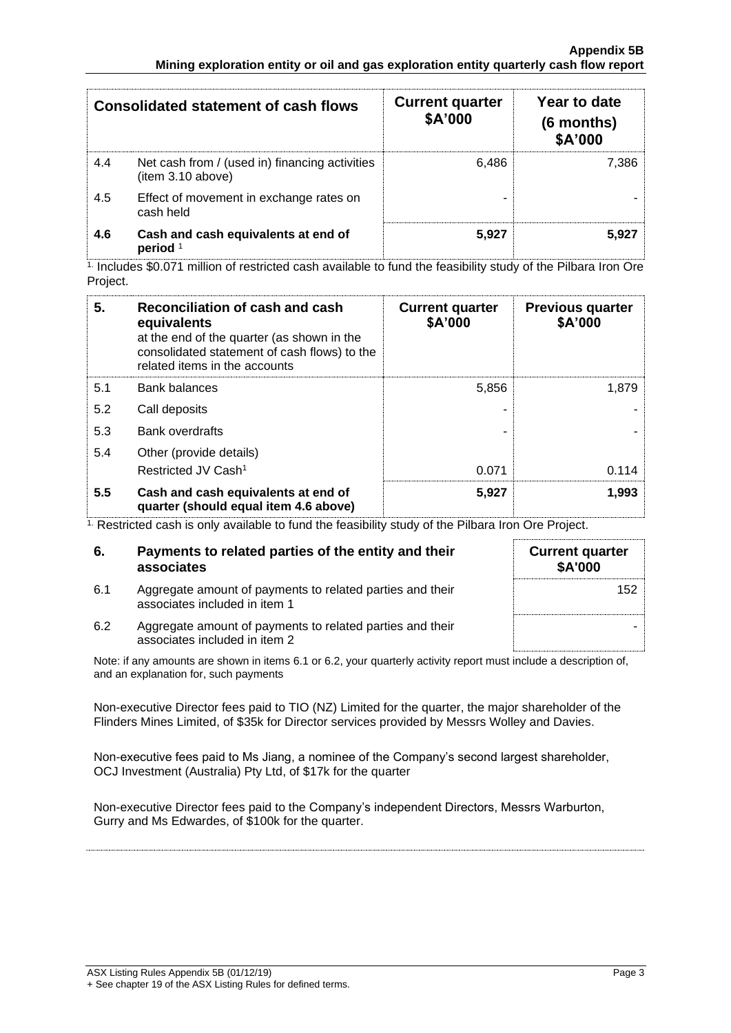|     | <b>Consolidated statement of cash flows</b>                        | <b>Current quarter</b><br>\$A'000 | Year to date<br>(6 months)<br>\$A'000 |
|-----|--------------------------------------------------------------------|-----------------------------------|---------------------------------------|
| 4.4 | Net cash from / (used in) financing activities<br>item 3.10 above) | 6.486                             | 7.386                                 |
| 4.5 | Effect of movement in exchange rates on<br>cash held               |                                   |                                       |
| 4.6 | Cash and cash equivalents at end of<br>period <sup>1</sup>         | 5.927                             | 5.927                                 |

1. Includes \$0.071 million of restricted cash available to fund the feasibility study of the Pilbara Iron Ore Project.

| 5.  | Reconciliation of cash and cash<br>equivalents<br>at the end of the quarter (as shown in the<br>consolidated statement of cash flows) to the<br>related items in the accounts | <b>Current quarter</b><br>\$A'000 | <b>Previous quarter</b><br>\$A'000 |
|-----|-------------------------------------------------------------------------------------------------------------------------------------------------------------------------------|-----------------------------------|------------------------------------|
| 5.1 | <b>Bank balances</b>                                                                                                                                                          | 5,856                             | 1,879                              |
| 5.2 | Call deposits                                                                                                                                                                 |                                   |                                    |
| 5.3 | <b>Bank overdrafts</b>                                                                                                                                                        |                                   |                                    |
| 5.4 | Other (provide details)                                                                                                                                                       |                                   |                                    |
|     | Restricted JV Cash <sup>1</sup>                                                                                                                                               | 0.071                             | 0.114                              |
| 5.5 | Cash and cash equivalents at end of<br>quarter (should equal item 4.6 above)                                                                                                  | 5,927                             | 1,993                              |

<sup>1.</sup> Restricted cash is only available to fund the feasibility study of the Pilbara Iron Ore Project.

| 6.  | Payments to related parties of the entity and their<br>associates                          | <b>Current quarter</b><br><b>\$A'000</b> |
|-----|--------------------------------------------------------------------------------------------|------------------------------------------|
| 6.1 | Aggregate amount of payments to related parties and their<br>associates included in item 1 | 152                                      |
| 6.2 | Aggregate amount of payments to related parties and their<br>associates included in item 2 |                                          |

Note: if any amounts are shown in items 6.1 or 6.2, your quarterly activity report must include a description of, and an explanation for, such payments

Non-executive Director fees paid to TIO (NZ) Limited for the quarter, the major shareholder of the Flinders Mines Limited, of \$35k for Director services provided by Messrs Wolley and Davies.

Non-executive fees paid to Ms Jiang, a nominee of the Company's second largest shareholder, OCJ Investment (Australia) Pty Ltd, of \$17k for the quarter

Non-executive Director fees paid to the Company's independent Directors, Messrs Warburton, Gurry and Ms Edwardes, of \$100k for the quarter.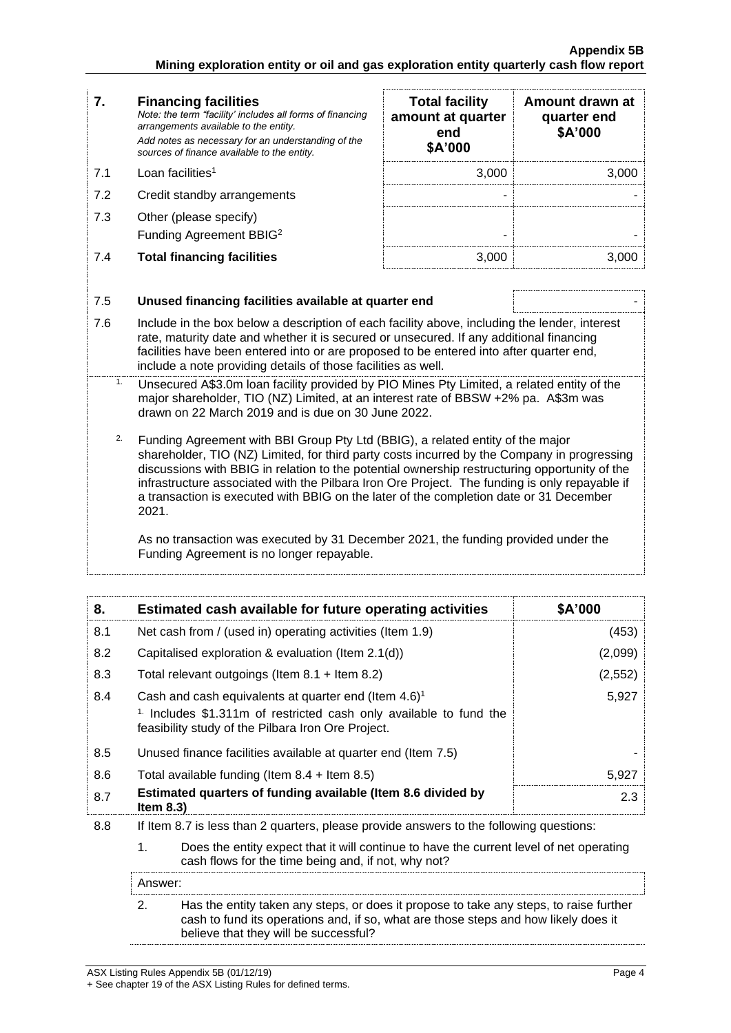- **7. Financing facilities** *Note: the term "facility' includes all forms of financing arrangements available to the entity. Add notes as necessary for an understanding of the sources of finance available to the entity.*  $7.1$  Loan facilities<sup>1</sup> 7.2 Credit standby arrangements
- 7.3 Other (please specify) Funding Agreement BBIG<sup>2</sup>
- 7.4 **Total financing facilities** 3,000 3,000

| <b>Total facility</b><br>amount at quarter<br>end<br>\$A'000 | Amount drawn at<br>quarter end<br>\$A'000 |
|--------------------------------------------------------------|-------------------------------------------|
| 3.000                                                        | 3.000                                     |
|                                                              |                                           |
|                                                              |                                           |
|                                                              |                                           |

### 7.5 **Unused financing facilities available at quarter end** - 7.6 Include in the box below a description of each facility above, including the lender, interest rate, maturity date and whether it is secured or unsecured. If any additional financing facilities have been entered into or are proposed to be entered into after quarter end, include a note providing details of those facilities as well. 1. Unsecured A\$3.0m loan facility provided by PIO Mines Pty Limited, a related entity of the major shareholder, TIO (NZ) Limited, at an interest rate of BBSW +2% pa. A\$3m was drawn on 22 March 2019 and is due on 30 June 2022. <sup>2</sup>. Funding Agreement with BBI Group Pty Ltd (BBIG), a related entity of the major shareholder, TIO (NZ) Limited, for third party costs incurred by the Company in progressing discussions with BBIG in relation to the potential ownership restructuring opportunity of the infrastructure associated with the Pilbara Iron Ore Project. The funding is only repayable if a transaction is executed with BBIG on the later of the completion date or 31 December 2021. As no transaction was executed by 31 December 2021, the funding provided under the Funding Agreement is no longer repayable.

| 8.  | Estimated cash available for future operating activities                                                                                                                                                   | \$A'000 |
|-----|------------------------------------------------------------------------------------------------------------------------------------------------------------------------------------------------------------|---------|
| 8.1 | Net cash from / (used in) operating activities (Item 1.9)                                                                                                                                                  | (453)   |
| 8.2 | Capitalised exploration & evaluation (Item 2.1(d))                                                                                                                                                         | (2,099) |
| 8.3 | Total relevant outgoings (Item $8.1$ + Item $8.2$ )                                                                                                                                                        | (2,552) |
| 8.4 | Cash and cash equivalents at quarter end (Item $4.6$ ) <sup>1</sup><br><sup>1.</sup> Includes \$1.311m of restricted cash only available to fund the<br>feasibility study of the Pilbara Iron Ore Project. | 5,927   |
| 8.5 | Unused finance facilities available at quarter end (Item 7.5)                                                                                                                                              |         |
| 8.6 | Total available funding (Item $8.4$ + Item $8.5$ )                                                                                                                                                         | 5,927   |
| 8.7 | Estimated quarters of funding available (Item 8.6 divided by<br>Item $8.3$ )                                                                                                                               | 2.3     |
| 8.8 | If Item 8.7 is less than 2 quarters, please provide answers to the following questions:                                                                                                                    |         |
|     | 1.<br>Does the entity expect that it will continue to have the current level of net operating<br>cash flows for the time being and, if not, why not?                                                       |         |
|     | Answer:                                                                                                                                                                                                    |         |
|     |                                                                                                                                                                                                            |         |

2. Has the entity taken any steps, or does it propose to take any steps, to raise further cash to fund its operations and, if so, what are those steps and how likely does it believe that they will be successful?